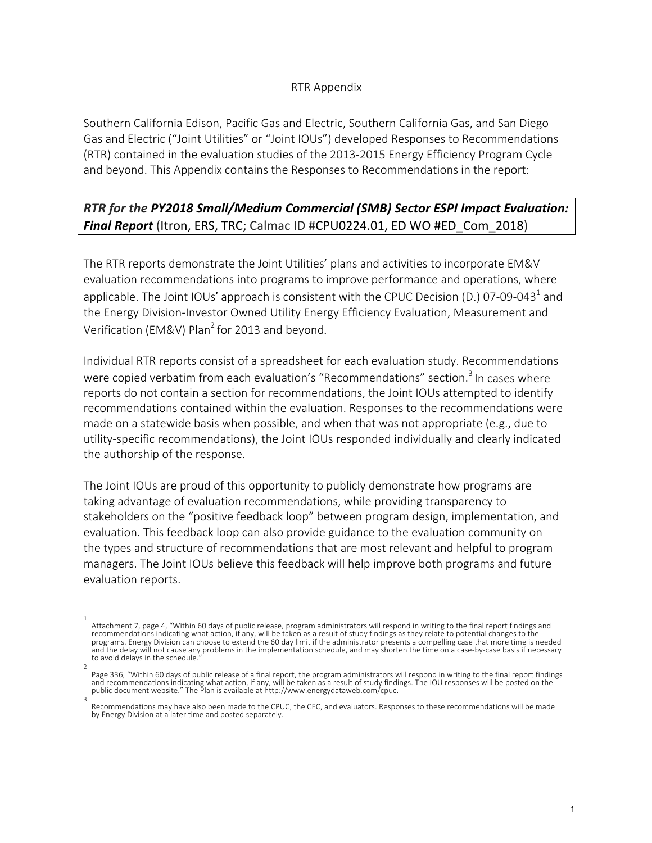## RTR Appendix

Southern California Edison, Pacific Gas and Electric, Southern California Gas, and San Diego Gas and Electric ("Joint Utilities" or "Joint IOUs") developed Responses to Recommendations (RTR) contained in the evaluation studies of the 2013-2015 Energy Efficiency Program Cycle and beyond. This Appendix contains the Responses to Recommendations in the report:

## *RTR for the PY2018 Small/Medium Commercial (SMB) Sector ESPI Impact Evaluation: Final Report* (Itron, ERS, TRC; Calmac ID #CPU0224.01, ED WO #ED\_Com\_2018)

The RTR reports demonstrate the Joint Utilities' plans and activities to incorporate EM&V evaluation recommendations into programs to improve performance and operations, where applicable. The Joint IOUs' approach is consistent with the CPUC Decision (D.) 07-09-043<sup>1</sup> and the Energy Division-Investor Owned Utility Energy Efficiency Evaluation, Measurement and Verification (EM&V) Plan<sup>2</sup> for 2013 and beyond.

Individual RTR reports consist of a spreadsheet for each evaluation study. Recommendations were copied verbatim from each evaluation's "Recommendations" section.<sup>3</sup> In cases where reports do not contain a section for recommendations, the Joint IOUs attempted to identify recommendations contained within the evaluation. Responses to the recommendations were made on a statewide basis when possible, and when that was not appropriate (e.g., due to utility-specific recommendations), the Joint IOUs responded individually and clearly indicated the authorship of the response.

The Joint IOUs are proud of this opportunity to publicly demonstrate how programs are taking advantage of evaluation recommendations, while providing transparency to stakeholders on the "positive feedback loop" between program design, implementation, and evaluation. This feedback loop can also provide guidance to the evaluation community on the types and structure of recommendations that are most relevant and helpful to program managers. The Joint IOUs believe this feedback will help improve both programs and future evaluation reports.

<sup>1</sup>  Attachment 7, page 4, "Within 60 days of public release, program administrators will respond in writing to the final report findings and recommendations indicating what action, if any, will be taken as a result of study findings as they relate to potential changes to the programs. Energy Division can choose to extend the 60 day limit if the administrator presents a compelling case that more time is needed and the delay will not cause any problems in the implementation schedule, and may shorten the time on a case-by-case basis if necessary to avoid delays in the schedule.

<sup>2</sup>  Page 336, "Within 60 days of public release of a final report, the program administrators will respond in writing to the final report findings and recommendations indicating what action, if any, will be taken as a result of study findings. The IOU responses will be posted on the<br>public document website." The Plan is available at http://www.energydataweb.com/cpuc.

Recommendations may have also been made to the CPUC, the CEC, and evaluators. Responses to these recommendations will be made by Energy Division at a later time and posted separately.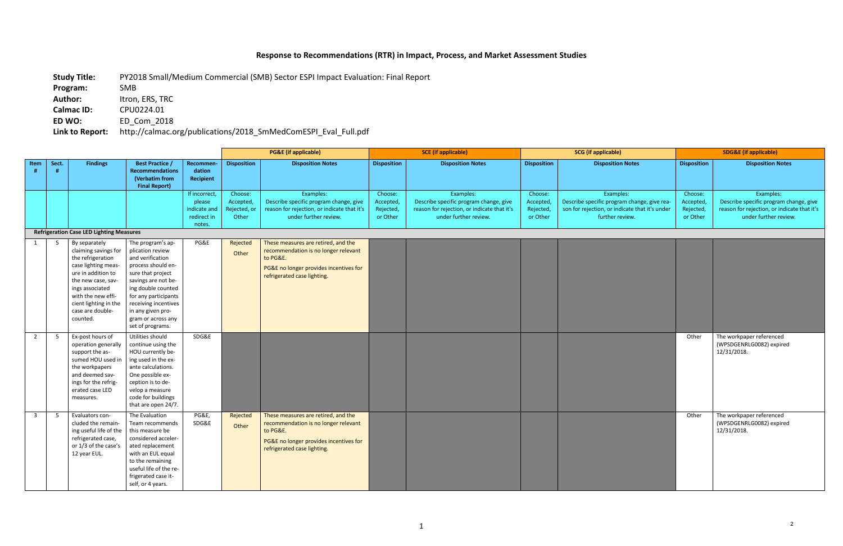## **Response to Recommendations (RTR) in Impact, Process, and Market Assessment Studies**

**Program:** SMB Author: **Itron, ERS, TRC** 

**Calmac ID:** CPU0224.01<br>**ED WO:** ED Com 201

**Study Title:** PY2018 Small/Medium Commercial (SMB) Sector ESPI Impact Evaluation: Final Report

**ED WO:** ED\_Com\_2018

**Link to Report:** http://calmac.org/publications/2018\_SmMedComESPI\_Eval\_Full.pdf

|              |       |                                                                                                                                                                                                                                 |                                                                                                                                                                                                                                                                  |                                                                  |                                               | <b>PG&amp;E</b> (if applicable)                                                                                                                                  |                                               | <b>SCE</b> (if applicable)                                                                                                  | <b>SCG</b> (if applicable)                    |                                                                                                                               | <b>SDG&amp;E</b> (if applicable)              |                                                                                                                             |
|--------------|-------|---------------------------------------------------------------------------------------------------------------------------------------------------------------------------------------------------------------------------------|------------------------------------------------------------------------------------------------------------------------------------------------------------------------------------------------------------------------------------------------------------------|------------------------------------------------------------------|-----------------------------------------------|------------------------------------------------------------------------------------------------------------------------------------------------------------------|-----------------------------------------------|-----------------------------------------------------------------------------------------------------------------------------|-----------------------------------------------|-------------------------------------------------------------------------------------------------------------------------------|-----------------------------------------------|-----------------------------------------------------------------------------------------------------------------------------|
| Item         | Sect. | <b>Findings</b>                                                                                                                                                                                                                 | <b>Best Practice /</b><br>Recommendations<br>(Verbatim from<br><b>Final Report)</b>                                                                                                                                                                              | <b>Recommen-</b><br>dation<br>Recipient                          | <b>Disposition</b>                            | <b>Disposition Notes</b>                                                                                                                                         | <b>Disposition</b>                            | <b>Disposition Notes</b>                                                                                                    | <b>Disposition</b>                            | <b>Disposition Notes</b>                                                                                                      | <b>Disposition</b>                            | <b>Disposition Notes</b>                                                                                                    |
|              |       |                                                                                                                                                                                                                                 |                                                                                                                                                                                                                                                                  | If incorrect,<br>please<br>indicate and<br>redirect in<br>notes. | Choose:<br>Accepted,<br>Rejected, or<br>Other | Examples:<br>Describe specific program change, give<br>reason for rejection, or indicate that it's<br>under further review.                                      | Choose:<br>Accepted,<br>Rejected,<br>or Other | Examples:<br>Describe specific program change, give<br>reason for rejection, or indicate that it's<br>under further review. | Choose:<br>Accepted,<br>Rejected,<br>or Other | Examples:<br>Describe specific program change, give rea-<br>son for rejection, or indicate that it's under<br>further review. | Choose:<br>Accepted,<br>Rejected,<br>or Other | Examples:<br>Describe specific program change, give<br>reason for rejection, or indicate that it's<br>under further review. |
|              |       | <b>Refrigeration Case LED Lighting Measures</b>                                                                                                                                                                                 |                                                                                                                                                                                                                                                                  |                                                                  |                                               |                                                                                                                                                                  |                                               |                                                                                                                             |                                               |                                                                                                                               |                                               |                                                                                                                             |
|              | -5    | By separately<br>claiming savings for<br>the refrigeration<br>case lighting meas-<br>ure in addition to<br>the new case, sav-<br>ings associated<br>with the new effi-<br>cient lighting in the<br>case are double-<br>counted. | The program's ap-<br>plication review<br>and verification<br>process should en-<br>sure that project<br>savings are not be-<br>ing double counted<br>for any participants<br>receiving incentives<br>in any given pro-<br>gram or across any<br>set of programs. | PG&E                                                             | Rejected<br>Other                             | These measures are retired, and the<br>recommendation is no longer relevant<br>to PG&E.<br>PG&E no longer provides incentives for<br>refrigerated case lighting. |                                               |                                                                                                                             |                                               |                                                                                                                               |                                               |                                                                                                                             |
| 2            | -5    | Ex-post hours of<br>operation generally<br>support the as-<br>sumed HOU used in<br>the workpapers<br>and deemed sav-<br>ings for the refrig-<br>erated case LED<br>measures.                                                    | Utilities should<br>continue using the<br>HOU currently be-<br>ing used in the ex-<br>ante calculations.<br>One possible ex-<br>ception is to de-<br>velop a measure<br>code for buildings<br>that are open 24/7.                                                | SDG&E                                                            |                                               |                                                                                                                                                                  |                                               |                                                                                                                             |                                               |                                                                                                                               | Other                                         | The workpaper referenced<br>(WPSDGENRLG0082) expired<br>12/31/2018.                                                         |
| $\mathbf{3}$ | 5     | Evaluators con-<br>cluded the remain-<br>ing useful life of the<br>refrigerated case,<br>or 1/3 of the case's<br>12 year EUL.                                                                                                   | The Evaluation<br>Team recommends<br>this measure be<br>considered acceler-<br>ated replacement<br>with an EUL equal<br>to the remaining<br>useful life of the re-<br>frigerated case it-<br>self, or 4 years.                                                   | <b>PG&amp;E,</b><br>SDG&E                                        | Rejected<br>Other                             | These measures are retired, and the<br>recommendation is no longer relevant<br>to PG&E.<br>PG&E no longer provides incentives for<br>refrigerated case lighting. |                                               |                                                                                                                             |                                               |                                                                                                                               | Other                                         | The workpaper referenced<br>(WPSDGENRLG0082) expired<br>12/31/2018.                                                         |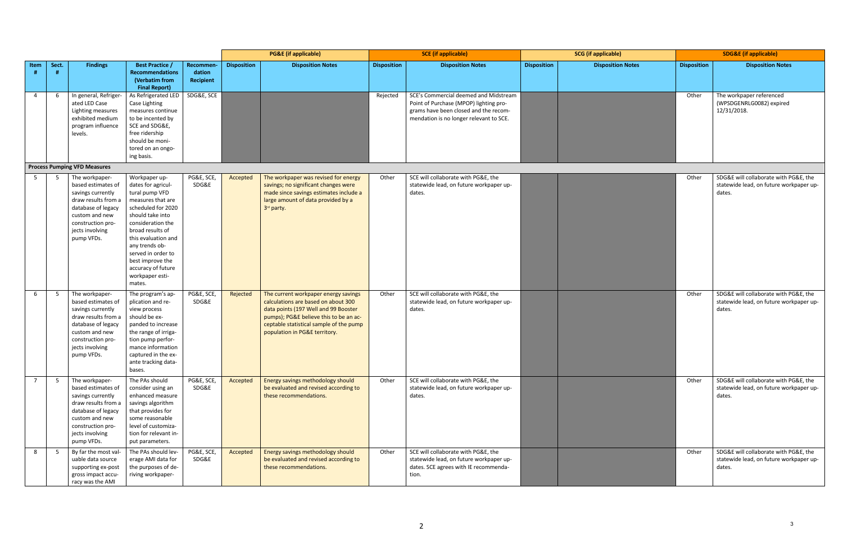|                |            |                                                                                                                                                                                |                                                                                                                                                                                                                                                                                                     |                                  | <b>PG&amp;E</b> (if applicable) |                                                                                                                                                                                                                                           | <b>SCE</b> (if applicable) |                                                                                                                                                                     | <b>SCG</b> (if applicable) |                          | <b>SDG&amp;E</b> (if applicable) |                                                                                            |
|----------------|------------|--------------------------------------------------------------------------------------------------------------------------------------------------------------------------------|-----------------------------------------------------------------------------------------------------------------------------------------------------------------------------------------------------------------------------------------------------------------------------------------------------|----------------------------------|---------------------------------|-------------------------------------------------------------------------------------------------------------------------------------------------------------------------------------------------------------------------------------------|----------------------------|---------------------------------------------------------------------------------------------------------------------------------------------------------------------|----------------------------|--------------------------|----------------------------------|--------------------------------------------------------------------------------------------|
| Item           | Sect.<br># | <b>Findings</b>                                                                                                                                                                | <b>Best Practice /</b><br><b>Recommendations</b><br>(Verbatim from<br><b>Final Report)</b>                                                                                                                                                                                                          | Recommen-<br>dation<br>Recipient | <b>Disposition</b>              | <b>Disposition Notes</b>                                                                                                                                                                                                                  | <b>Disposition</b>         | <b>Disposition Notes</b>                                                                                                                                            | <b>Disposition</b>         | <b>Disposition Notes</b> | <b>Disposition</b>               | <b>Disposition Notes</b>                                                                   |
| 4              | 6          | In general, Refriger-<br>ated LED Case<br>Lighting measures<br>exhibited medium<br>program influence<br>levels.                                                                | As Refrigerated LED<br>Case Lighting<br>measures continue<br>to be incented by<br>SCE and SDG&E,<br>free ridership<br>should be moni-<br>tored on an ongo-<br>ing basis.                                                                                                                            | SDG&E, SCE                       |                                 |                                                                                                                                                                                                                                           | Rejected                   | SCE's Commercial deemed and Midstream<br>Point of Purchase (MPOP) lighting pro-<br>grams have been closed and the recom-<br>mendation is no longer relevant to SCE. |                            |                          | Other                            | The workpaper referenced<br>(WPSDGENRLG0082) expired<br>12/31/2018.                        |
|                |            | <b>Process Pumping VFD Measures</b>                                                                                                                                            |                                                                                                                                                                                                                                                                                                     |                                  |                                 |                                                                                                                                                                                                                                           |                            |                                                                                                                                                                     |                            |                          |                                  |                                                                                            |
| 5              | -5         | The workpaper-<br>based estimates of<br>savings currently<br>draw results from a<br>database of legacy<br>custom and new<br>construction pro-<br>jects involving<br>pump VFDs. | Workpaper up-<br>dates for agricul-<br>tural pump VFD<br>measures that are<br>scheduled for 2020<br>should take into<br>consideration the<br>broad results of<br>this evaluation and<br>any trends ob-<br>served in order to<br>best improve the<br>accuracy of future<br>workpaper esti-<br>mates. | PG&E, SCE,<br>SDG&E              | Accepted                        | The workpaper was revised for energy<br>savings; no significant changes were<br>made since savings estimates include a<br>large amount of data provided by a<br>3rd party.                                                                | Other                      | SCE will collaborate with PG&E, the<br>statewide lead, on future workpaper up-<br>dates.                                                                            |                            |                          | Other                            | SDG&E will collaborate with PG&E, the<br>statewide lead, on future workpaper up-<br>dates. |
| 6              | 5          | The workpaper-<br>based estimates of<br>savings currently<br>draw results from a<br>database of legacy<br>custom and new<br>construction pro-<br>jects involving<br>pump VFDs. | The program's ap-<br>plication and re-<br>view process<br>should be ex-<br>panded to increase<br>the range of irriga-<br>tion pump perfor-<br>mance information<br>captured in the ex-<br>ante tracking data-<br>bases.                                                                             | PG&E, SCE,<br>SDG&E              | Rejected                        | The current workpaper energy savings<br>calculations are based on about 300<br>data points (197 Well and 99 Booster<br>pumps); PG&E believe this to be an ac-<br>ceptable statistical sample of the pump<br>population in PG&E territory. | Other                      | SCE will collaborate with PG&E, the<br>statewide lead, on future workpaper up-<br>dates.                                                                            |                            |                          | Other                            | SDG&E will collaborate with PG&E, the<br>statewide lead, on future workpaper up-<br>dates. |
| $\overline{7}$ | 5          | The workpaper-<br>based estimates of<br>savings currently<br>draw results from a<br>database of legacy<br>custom and new<br>construction pro-<br>jects involving<br>pump VFDs. | The PAs should<br>consider using an<br>enhanced measure<br>savings algorithm<br>that provides for<br>some reasonable<br>level of customiza-<br>tion for relevant in-<br>put parameters.                                                                                                             | PG&E, SCE,<br>SDG&E              | Accepted                        | Energy savings methodology should<br>be evaluated and revised according to<br>these recommendations.                                                                                                                                      | Other                      | SCE will collaborate with PG&E, the<br>statewide lead, on future workpaper up-<br>dates.                                                                            |                            |                          | Other                            | SDG&E will collaborate with PG&E, the<br>statewide lead, on future workpaper up-<br>dates. |
| 8              | 5          | By far the most val-<br>uable data source<br>supporting ex-post<br>gross impact accu-<br>racy was the AMI                                                                      | The PAs should lev-<br>erage AMI data for<br>the purposes of de-<br>riving workpaper-                                                                                                                                                                                                               | PG&E, SCE,<br>SDG&E              | Accepted                        | Energy savings methodology should<br>be evaluated and revised according to<br>these recommendations.                                                                                                                                      | Other                      | SCE will collaborate with PG&E, the<br>statewide lead, on future workpaper up-<br>dates. SCE agrees with IE recommenda-<br>tion.                                    |                            |                          | Other                            | SDG&E will collaborate with PG&E, the<br>statewide lead, on future workpaper up-<br>dates. |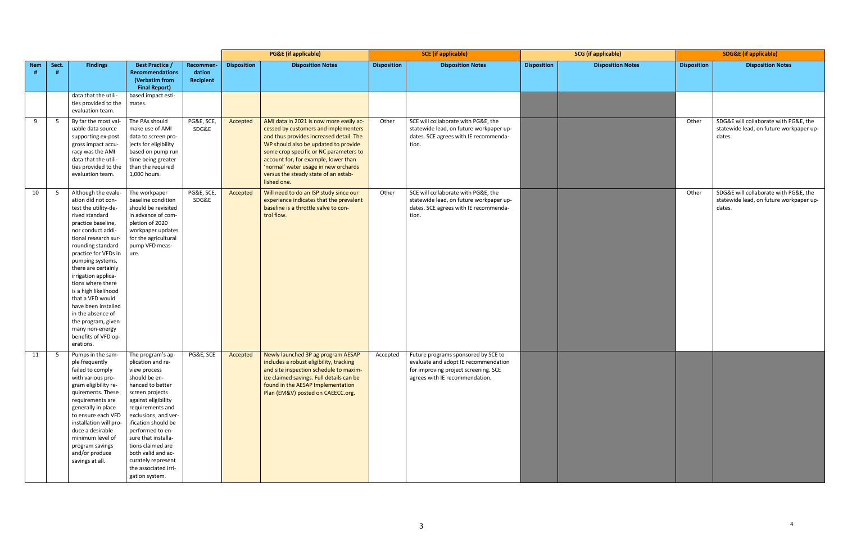|      |       |                                                                                                                                                                                                                                                                                                                                                                                                                                                                 |                                                                                                                                                                                                                                                                                                                                                                |                                  |                    | <b>PG&amp;E</b> (if applicable)                                                                                                                                                                                                                                                                                                                     |                    | <b>SCE</b> (if applicable)                                                                                                                                     |                    | <b>SCG</b> (if applicable) |                    | <b>SDG&amp;E</b> (if applicable)                                                           |
|------|-------|-----------------------------------------------------------------------------------------------------------------------------------------------------------------------------------------------------------------------------------------------------------------------------------------------------------------------------------------------------------------------------------------------------------------------------------------------------------------|----------------------------------------------------------------------------------------------------------------------------------------------------------------------------------------------------------------------------------------------------------------------------------------------------------------------------------------------------------------|----------------------------------|--------------------|-----------------------------------------------------------------------------------------------------------------------------------------------------------------------------------------------------------------------------------------------------------------------------------------------------------------------------------------------------|--------------------|----------------------------------------------------------------------------------------------------------------------------------------------------------------|--------------------|----------------------------|--------------------|--------------------------------------------------------------------------------------------|
| Item | Sect. | <b>Findings</b>                                                                                                                                                                                                                                                                                                                                                                                                                                                 | <b>Best Practice /</b><br><b>Recommendations</b><br>(Verbatim from<br><b>Final Report)</b>                                                                                                                                                                                                                                                                     | Recommen-<br>dation<br>Recipient | <b>Disposition</b> | <b>Disposition Notes</b>                                                                                                                                                                                                                                                                                                                            | <b>Disposition</b> | <b>Disposition Notes</b>                                                                                                                                       | <b>Disposition</b> | <b>Disposition Notes</b>   | <b>Disposition</b> | <b>Disposition Notes</b>                                                                   |
|      |       | data that the utili-<br>ties provided to the<br>evaluation team.                                                                                                                                                                                                                                                                                                                                                                                                | based impact esti-<br>mates.                                                                                                                                                                                                                                                                                                                                   |                                  |                    |                                                                                                                                                                                                                                                                                                                                                     |                    |                                                                                                                                                                |                    |                            |                    |                                                                                            |
| 9    | - 5   | By far the most val-<br>uable data source<br>supporting ex-post<br>gross impact accu-<br>racy was the AMI<br>data that the utili-<br>ties provided to the<br>evaluation team.                                                                                                                                                                                                                                                                                   | The PAs should<br>make use of AMI<br>data to screen pro-<br>jects for eligibility<br>based on pump run<br>time being greater<br>than the required<br>1,000 hours.                                                                                                                                                                                              | PG&E, SCE,<br>SDG&E              | Accepted           | AMI data in 2021 is now more easily ac-<br>cessed by customers and implementers<br>and thus provides increased detail. The<br>WP should also be updated to provide<br>some crop specific or NC parameters to<br>account for, for example, lower than<br>'normal' water usage in new orchards<br>versus the steady state of an estab-<br>lished one. | Other              | SCE will collaborate with PG&E, the<br>statewide lead, on future workpaper up-<br>dates. SCE agrees with IE recommenda-<br>tion.                               |                    |                            | Other              | SDG&E will collaborate with PG&E, the<br>statewide lead, on future workpaper up-<br>dates. |
| 10   | - 5   | Although the evalu-<br>ation did not con-<br>test the utility-de-<br>rived standard<br>practice baseline,<br>nor conduct addi-<br>tional research sur-<br>rounding standard<br>practice for VFDs in<br>pumping systems,<br>there are certainly<br>irrigation applica-<br>tions where there<br>is a high likelihood<br>that a VFD would<br>have been installed<br>in the absence of<br>the program, given<br>many non-energy<br>benefits of VFD op-<br>erations. | The workpaper<br>baseline condition<br>should be revisited<br>in advance of com-<br>pletion of 2020<br>workpaper updates<br>for the agricultural<br>pump VFD meas-<br>ure.                                                                                                                                                                                     | PG&E, SCE,<br>SDG&E              | Accepted           | Will need to do an ISP study since our<br>experience indicates that the prevalent<br>baseline is a throttle valve to con-<br>trol flow.                                                                                                                                                                                                             | Other              | SCE will collaborate with PG&E, the<br>statewide lead, on future workpaper up-<br>dates. SCE agrees with IE recommenda-<br>tion.                               |                    |                            | Other              | SDG&E will collaborate with PG&E, the<br>statewide lead, on future workpaper up-<br>dates. |
| 11   | - 5   | Pumps in the sam-<br>ple frequently<br>failed to comply<br>with various pro-<br>gram eligibility re-<br>quirements. These<br>requirements are<br>generally in place<br>to ensure each VFD<br>installation will pro-<br>duce a desirable<br>minimum level of<br>program savings<br>and/or produce<br>savings at all.                                                                                                                                             | The program's ap-<br>plication and re-<br>view process<br>should be en-<br>hanced to better<br>screen projects<br>against eligibility<br>requirements and<br>exclusions, and ver-<br>ification should be<br>performed to en-<br>sure that installa-<br>tions claimed are<br>both valid and ac-<br>curately represent<br>the associated irri-<br>gation system. | PG&E, SCE                        | Accepted           | Newly launched 3P ag program AESAP<br>includes a robust eligibility, tracking<br>and site inspection schedule to maxim-<br>ize claimed savings. Full details can be<br>found in the AESAP Implementation<br>Plan (EM&V) posted on CAEECC.org.                                                                                                       |                    | Accepted Future programs sponsored by SCE to<br>evaluate and adopt IE recommendation<br>for improving project screening. SCE<br>agrees with IE recommendation. |                    |                            |                    |                                                                                            |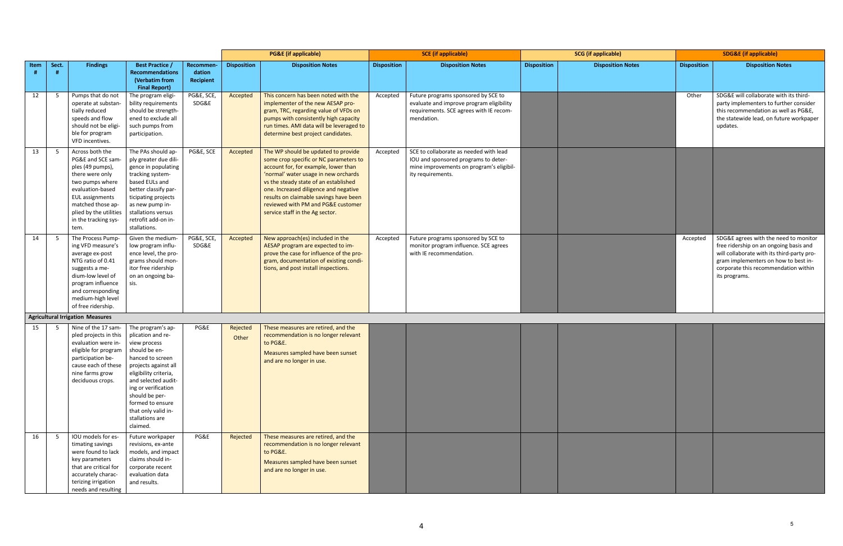|      |                |                                                                                                                                                                                                                             |                                                                                                                                                                                                                                                                                        |                                  |                    | <b>PG&amp;E</b> (if applicable)                                                                                                                                                                                                                                                                                                                                    |                    | <b>SCE</b> (if applicable)                                                                                                                      | <b>SCG</b> (if applicable) |                          | <b>SDG&amp;E</b> (if applicable) |                                                                                                                                                                                                                                |  |
|------|----------------|-----------------------------------------------------------------------------------------------------------------------------------------------------------------------------------------------------------------------------|----------------------------------------------------------------------------------------------------------------------------------------------------------------------------------------------------------------------------------------------------------------------------------------|----------------------------------|--------------------|--------------------------------------------------------------------------------------------------------------------------------------------------------------------------------------------------------------------------------------------------------------------------------------------------------------------------------------------------------------------|--------------------|-------------------------------------------------------------------------------------------------------------------------------------------------|----------------------------|--------------------------|----------------------------------|--------------------------------------------------------------------------------------------------------------------------------------------------------------------------------------------------------------------------------|--|
| Item | Sect.          | <b>Findings</b>                                                                                                                                                                                                             | <b>Best Practice /</b><br><b>Recommendations</b><br>(Verbatim from<br><b>Final Report)</b>                                                                                                                                                                                             | Recommen-<br>dation<br>Recipient | <b>Disposition</b> | <b>Disposition Notes</b>                                                                                                                                                                                                                                                                                                                                           | <b>Disposition</b> | <b>Disposition Notes</b>                                                                                                                        | <b>Disposition</b>         | <b>Disposition Notes</b> | <b>Disposition</b>               | <b>Disposition Notes</b>                                                                                                                                                                                                       |  |
| 12   | 5              | Pumps that do not<br>operate at substan-<br>tially reduced<br>speeds and flow<br>should not be eligi-<br>ble for program<br>VFD incentives.                                                                                 | The program eligi-<br>bility requirements<br>should be strength-<br>ened to exclude all<br>such pumps from<br>participation.                                                                                                                                                           | PG&E, SCE,<br>SDG&E              | Accepted           | This concern has been noted with the<br>implementer of the new AESAP pro-<br>gram, TRC, regarding value of VFDs on<br>pumps with consistently high capacity<br>run times. AMI data will be leveraged to<br>determine best project candidates.                                                                                                                      | Accepted           | Future programs sponsored by SCE to<br>evaluate and improve program eligibility<br>requirements. SCE agrees with IE recom-<br>mendation.        |                            |                          | Other                            | SDG&E will collaborate with its third-<br>party implementers to further consider<br>this recommendation as well as PG&E,<br>the statewide lead, on future workpaper<br>updates.                                                |  |
| 13   | 5              | Across both the<br>PG&E and SCE sam-<br>ples (49 pumps),<br>there were only<br>two pumps where<br>evaluation-based<br><b>EUL</b> assignments<br>matched those ap-<br>plied by the utilities<br>in the tracking sys-<br>tem. | The PAs should ap-<br>ply greater due dili-<br>gence in populating<br>tracking system-<br>based EULs and<br>better classify par-<br>ticipating projects<br>as new pump in-<br>stallations versus<br>retrofit add-on in-<br>stallations.                                                | PG&E, SCE                        | Accepted           | The WP should be updated to provide<br>some crop specific or NC parameters to<br>account for, for example, lower than<br>'normal' water usage in new orchards<br>vs the steady state of an established<br>one. Increased diligence and negative<br>results on claimable savings have been<br>reviewed with PM and PG&E customer<br>service staff in the Ag sector. | Accepted           | SCE to collaborate as needed with lead<br>IOU and sponsored programs to deter-<br>mine improvements on program's eligibil-<br>ity requirements. |                            |                          |                                  |                                                                                                                                                                                                                                |  |
| 14   | 5              | The Process Pump-<br>ing VFD measure's<br>average ex-post<br>NTG ratio of 0.41<br>suggests a me-<br>dium-low level of<br>program influence<br>and corresponding<br>medium-high level<br>of free ridership.                  | Given the medium-<br>low program influ-<br>ence level, the pro-<br>grams should mon-<br>itor free ridership<br>on an ongoing ba-<br>sis.                                                                                                                                               | PG&E, SCE,<br>SDG&E              | Accepted           | New approach(es) included in the<br>AESAP program are expected to im-<br>prove the case for influence of the pro-<br>gram, documentation of existing condi-<br>tions, and post install inspections.                                                                                                                                                                | Accepted           | Future programs sponsored by SCE to<br>monitor program influence. SCE agrees<br>with IE recommendation.                                         |                            |                          | Accepted                         | SDG&E agrees with the need to monitor<br>free ridership on an ongoing basis and<br>will collaborate with its third-party pro-<br>gram implementers on how to best in-<br>corporate this recommendation within<br>its programs. |  |
|      |                | <b>Agricultural Irrigation Measures</b>                                                                                                                                                                                     |                                                                                                                                                                                                                                                                                        |                                  |                    |                                                                                                                                                                                                                                                                                                                                                                    |                    |                                                                                                                                                 |                            |                          |                                  |                                                                                                                                                                                                                                |  |
| 15   | 5              | Nine of the 17 sam-<br>pled projects in this<br>evaluation were in-<br>eligible for program<br>participation be-<br>cause each of these<br>nine farms grow<br>deciduous crops.                                              | The program's ap-<br>plication and re-<br>view process<br>should be en-<br>hanced to screen<br>projects against all<br>eligibility criteria,<br>and selected audit-<br>ing or verification<br>should be per-<br>formed to ensure<br>that only valid in-<br>stallations are<br>claimed. | PG&E                             | Rejected<br>Other  | These measures are retired, and the<br>recommendation is no longer relevant<br>to PG&E.<br>Measures sampled have been sunset<br>and are no longer in use.                                                                                                                                                                                                          |                    |                                                                                                                                                 |                            |                          |                                  |                                                                                                                                                                                                                                |  |
| 16   | 5 <sup>5</sup> | IOU models for es-<br>timating savings<br>were found to lack<br>key parameters<br>that are critical for<br>accurately charac-<br>terizing irrigation<br>needs and resulting                                                 | Future workpaper<br>revisions, ex-ante<br>models, and impact<br>claims should in-<br>corporate recent<br>evaluation data<br>and results.                                                                                                                                               | PG&E                             | Rejected           | These measures are retired, and the<br>recommendation is no longer relevant<br>to PG&E.<br>Measures sampled have been sunset<br>and are no longer in use.                                                                                                                                                                                                          |                    |                                                                                                                                                 |                            |                          |                                  |                                                                                                                                                                                                                                |  |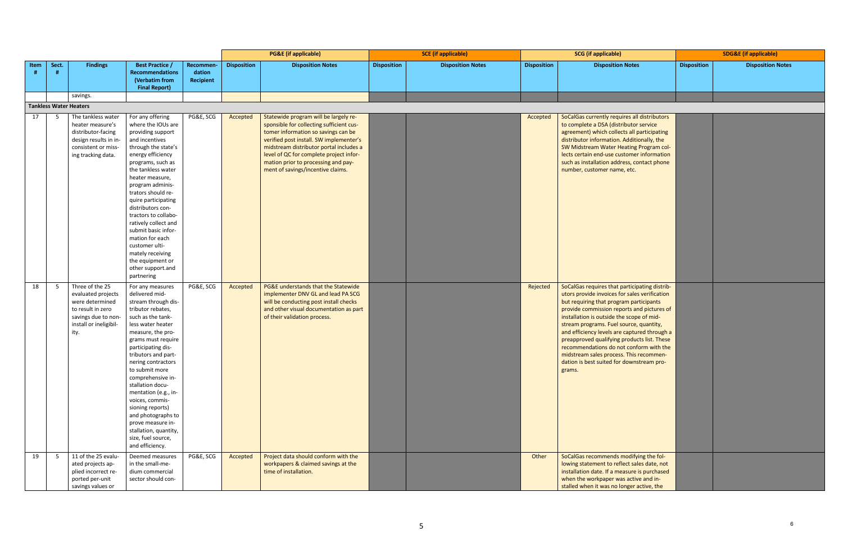| )                                                                                                                                                                                                                                                        | <b>SDG&amp;E</b> (if applicable) |                          |  |  |  |  |  |  |
|----------------------------------------------------------------------------------------------------------------------------------------------------------------------------------------------------------------------------------------------------------|----------------------------------|--------------------------|--|--|--|--|--|--|
| n Notes                                                                                                                                                                                                                                                  | <b>Disposition</b>               | <b>Disposition Notes</b> |  |  |  |  |  |  |
|                                                                                                                                                                                                                                                          |                                  |                          |  |  |  |  |  |  |
|                                                                                                                                                                                                                                                          |                                  |                          |  |  |  |  |  |  |
|                                                                                                                                                                                                                                                          |                                  |                          |  |  |  |  |  |  |
|                                                                                                                                                                                                                                                          |                                  |                          |  |  |  |  |  |  |
| uires all distributors<br>tributor service<br>ects all participating<br>. Additionally, the<br><b>Heating Program col-</b><br>ustomer information<br>Iress, contact phone<br>e, etc.                                                                     |                                  |                          |  |  |  |  |  |  |
| participating distrib-<br>for sales verification<br>ram participants<br>ports and pictures of<br>he scope of mid-<br>source, quantity,<br>e captured through a<br>products list. These<br>ot conform with the<br>ss. This recommen-<br>r downstream pro- |                                  |                          |  |  |  |  |  |  |
| modifying the fol-<br>flect sales date, not<br>easure is purchased<br>as active and in-<br>longer active, the                                                                                                                                            |                                  |                          |  |  |  |  |  |  |

|                               |                |                                                                                                                                        |                                                                                                                                                                                                                                                                                                                                                                                                                                                                   |                     |                    | <b>PG&amp;E</b> (if applicable)                                                                                                                                                                                                                                                                                                       |                    | <b>SCE</b> (if applicable) | <b>SCG</b> (if applicable) |                                                                                                                                                                                                                                                                                                                                                                                                                                                                                                                             | <b>SDG&amp;E</b> (if applicable) |                          |
|-------------------------------|----------------|----------------------------------------------------------------------------------------------------------------------------------------|-------------------------------------------------------------------------------------------------------------------------------------------------------------------------------------------------------------------------------------------------------------------------------------------------------------------------------------------------------------------------------------------------------------------------------------------------------------------|---------------------|--------------------|---------------------------------------------------------------------------------------------------------------------------------------------------------------------------------------------------------------------------------------------------------------------------------------------------------------------------------------|--------------------|----------------------------|----------------------------|-----------------------------------------------------------------------------------------------------------------------------------------------------------------------------------------------------------------------------------------------------------------------------------------------------------------------------------------------------------------------------------------------------------------------------------------------------------------------------------------------------------------------------|----------------------------------|--------------------------|
| Item                          | Sect.          | <b>Findings</b>                                                                                                                        | <b>Best Practice /</b>                                                                                                                                                                                                                                                                                                                                                                                                                                            | Recommen-           | <b>Disposition</b> | <b>Disposition Notes</b>                                                                                                                                                                                                                                                                                                              | <b>Disposition</b> | <b>Disposition Notes</b>   | <b>Disposition</b>         | <b>Disposition Notes</b>                                                                                                                                                                                                                                                                                                                                                                                                                                                                                                    | <b>Disposition</b>               | <b>Disposition Notes</b> |
|                               |                |                                                                                                                                        | <b>Recommendations</b><br>(Verbatim from<br><b>Final Report)</b>                                                                                                                                                                                                                                                                                                                                                                                                  | dation<br>Recipient |                    |                                                                                                                                                                                                                                                                                                                                       |                    |                            |                            |                                                                                                                                                                                                                                                                                                                                                                                                                                                                                                                             |                                  |                          |
|                               |                | savings.                                                                                                                               |                                                                                                                                                                                                                                                                                                                                                                                                                                                                   |                     |                    |                                                                                                                                                                                                                                                                                                                                       |                    |                            |                            |                                                                                                                                                                                                                                                                                                                                                                                                                                                                                                                             |                                  |                          |
| <b>Tankless Water Heaters</b> |                |                                                                                                                                        |                                                                                                                                                                                                                                                                                                                                                                                                                                                                   |                     |                    |                                                                                                                                                                                                                                                                                                                                       |                    |                            |                            |                                                                                                                                                                                                                                                                                                                                                                                                                                                                                                                             |                                  |                          |
| 17                            | 5              | The tankless water<br>heater measure's<br>distributor-facing<br>design results in in-<br>consistent or miss-<br>ing tracking data.     | For any offering<br>where the IOUs are<br>providing support<br>and incentives<br>through the state's<br>energy efficiency<br>programs, such as<br>the tankless water<br>heater measure,<br>program adminis-<br>trators should re-<br>quire participating<br>distributors con-<br>tractors to collabo-<br>ratively collect and<br>submit basic infor-<br>mation for each<br>customer ulti-                                                                         | PG&E, SCG           | Accepted           | Statewide program will be largely re-<br>sponsible for collecting sufficient cus-<br>tomer information so savings can be<br>verified post install. SW implementer's<br>midstream distributor portal includes a<br>level of QC for complete project infor-<br>mation prior to processing and pay-<br>ment of savings/incentive claims. |                    |                            | Accepted                   | SoCalGas currently requires all distributors<br>to complete a DSA (distributor service<br>agreement) which collects all participating<br>distributor information. Additionally, the<br>SW Midstream Water Heating Program col-<br>lects certain end-use customer information<br>such as installation address, contact phone<br>number, customer name, etc.                                                                                                                                                                  |                                  |                          |
| 18                            | 5              | Three of the 25<br>evaluated projects<br>were determined<br>to result in zero<br>savings due to non-<br>install or ineligibil-<br>ity. | mately receiving<br>the equipment or<br>other support.and<br>partnering<br>For any measures<br>delivered mid-<br>stream through dis-<br>tributor rebates,<br>such as the tank-<br>less water heater<br>measure, the pro-<br>grams must require<br>participating dis-<br>tributors and part-<br>nering contractors<br>to submit more<br>comprehensive in-<br>stallation docu-<br>mentation (e.g., in-<br>voices, commis-<br>sioning reports)<br>and photographs to | PG&E, SCG           | Accepted           | PG&E understands that the Statewide<br>implementer DNV GL and lead PA SCG<br>will be conducting post install checks<br>and other visual documentation as part<br>of their validation process.                                                                                                                                         |                    |                            | Rejected                   | SoCalGas requires that participating distrib-<br>utors provide invoices for sales verification<br>but requiring that program participants<br>provide commission reports and pictures of<br>installation is outside the scope of mid-<br>stream programs. Fuel source, quantity,<br>and efficiency levels are captured through a<br>preapproved qualifying products list. These<br>recommendations do not conform with the<br>midstream sales process. This recommen-<br>dation is best suited for downstream pro-<br>grams. |                                  |                          |
| 19                            | 5 <sup>5</sup> | 11 of the 25 evalu-<br>ated projects ap-<br>plied incorrect re-<br>ported per-unit<br>savings values or                                | prove measure in-<br>stallation, quantity,<br>size, fuel source,<br>and efficiency.<br>Deemed measures<br>in the small-me-<br>dium commercial<br>sector should con-                                                                                                                                                                                                                                                                                               | PG&E, SCG           | Accepted           | Project data should conform with the<br>workpapers & claimed savings at the<br>time of installation.                                                                                                                                                                                                                                  |                    |                            | Other                      | SoCalGas recommends modifying the fol-<br>lowing statement to reflect sales date, not<br>installation date. If a measure is purchased<br>when the workpaper was active and in-<br>stalled when it was no longer active, the                                                                                                                                                                                                                                                                                                 |                                  |                          |